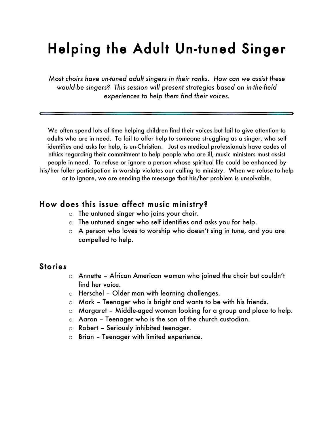# Helping the Adult Un-tuned Singer

*Most choirs have un-tuned adult singers in their ranks. How can we assist these would-be singers? This session will present strategies based on in-the-field experiences to help them find their voices.*

We often spend lots of time helping children find their voices but fail to give attention to adults who are in need. To fail to offer help to someone struggling as a singer, who self identifies and asks for help, is un-Christian. Just as medical professionals have codes of ethics regarding their commitment to help people who are ill, music ministers must assist people in need. To refuse or ignore a person whose spiritual life could be enhanced by his/her fuller participation in worship violates our calling to ministry. When we refuse to help or to ignore, we are sending the message that his/her problem is unsolvable.

#### How does this issue affect music ministry?

- o The untuned singer who joins your choir.
- o The untuned singer who self identifies and asks you for help.
- o A person who loves to worship who doesn't sing in tune, and you are compelled to help.

#### **Stories**

- o Annette African American woman who joined the choir but couldn't find her voice.
- o Herschel Older man with learning challenges.
- o Mark Teenager who is bright and wants to be with his friends.
- o Margaret Middle-aged woman looking for a group and place to help.
- o Aaron Teenager who is the son of the church custodian.
- o Robert Seriously inhibited teenager.
- o Brian Teenager with limited experience.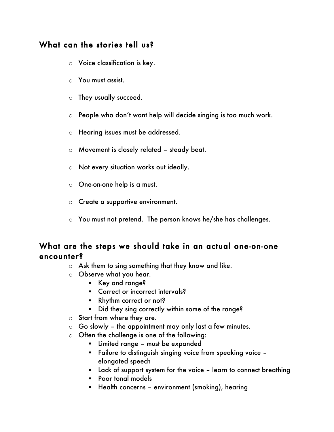## What can the stories tell us?

- o Voice classification is key.
- o You must assist.
- o They usually succeed.
- o People who don't want help will decide singing is too much work.
- o Hearing issues must be addressed.
- o Movement is closely related steady beat.
- o Not every situation works out ideally.
- o One-on-one help is a must.
- o Create a supportive environment.
- o You must not pretend. The person knows he/she has challenges.

### What are the steps we should take in an actual one-on-one encounter?

- o Ask them to sing something that they know and like.
- o Observe what you hear.
	- Key and range?
	- **EXECOTE COTTECT OF INCOTTECT Intervals?**
	- Rhythm correct or not?
	- Did they sing correctly within some of the range?
- o Start from where they are.
- $\circ$  Go slowly the appointment may only last a few minutes.
- $\circ$  Often the challenge is one of the following:
	- Limited range must be expanded
	- Failure to distinguish singing voice from speaking voice elongated speech
	- **EXEC** Lack of support system for the voice learn to connect breathing
	- **Poor tonal models**
	- **Health concerns environment (smoking), hearing**